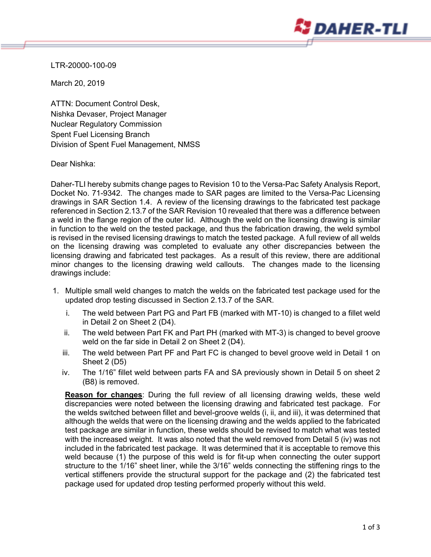

LTR-20000-100-09

March 20, 2019

ATTN: Document Control Desk, Nishka Devaser, Project Manager Nuclear Regulatory Commission Spent Fuel Licensing Branch Division of Spent Fuel Management, NMSS

Dear Nishka:

Daher-TLI hereby submits change pages to Revision 10 to the Versa-Pac Safety Analysis Report, Docket No. 71-9342. The changes made to SAR pages are limited to the Versa-Pac Licensing drawings in SAR Section 1.4. A review of the licensing drawings to the fabricated test package referenced in Section 2.13.7 of the SAR Revision 10 revealed that there was a difference between a weld in the flange region of the outer lid. Although the weld on the licensing drawing is similar in function to the weld on the tested package, and thus the fabrication drawing, the weld symbol is revised in the revised licensing drawings to match the tested package. A full review of all welds on the licensing drawing was completed to evaluate any other discrepancies between the licensing drawing and fabricated test packages. As a result of this review, there are additional minor changes to the licensing drawing weld callouts. The changes made to the licensing drawings include:

- 1. Multiple small weld changes to match the welds on the fabricated test package used for the updated drop testing discussed in Section 2.13.7 of the SAR.
	- i. The weld between Part PG and Part FB (marked with MT-10) is changed to a fillet weld in Detail 2 on Sheet 2 (D4).
	- ii. The weld between Part FK and Part PH (marked with MT-3) is changed to bevel groove weld on the far side in Detail 2 on Sheet 2 (D4).
	- iii. The weld between Part PF and Part FC is changed to bevel groove weld in Detail 1 on Sheet 2 (D5)
	- iv. The 1/16" fillet weld between parts FA and SA previously shown in Detail 5 on sheet 2 (B8) is removed.

**Reason for changes**: During the full review of all licensing drawing welds, these weld discrepancies were noted between the licensing drawing and fabricated test package. For the welds switched between fillet and bevel-groove welds (i, ii, and iii), it was determined that although the welds that were on the licensing drawing and the welds applied to the fabricated test package are similar in function, these welds should be revised to match what was tested with the increased weight. It was also noted that the weld removed from Detail 5 (iv) was not included in the fabricated test package. It was determined that it is acceptable to remove this weld because (1) the purpose of this weld is for fit-up when connecting the outer support structure to the 1/16" sheet liner, while the 3/16" welds connecting the stiffening rings to the vertical stiffeners provide the structural support for the package and (2) the fabricated test package used for updated drop testing performed properly without this weld.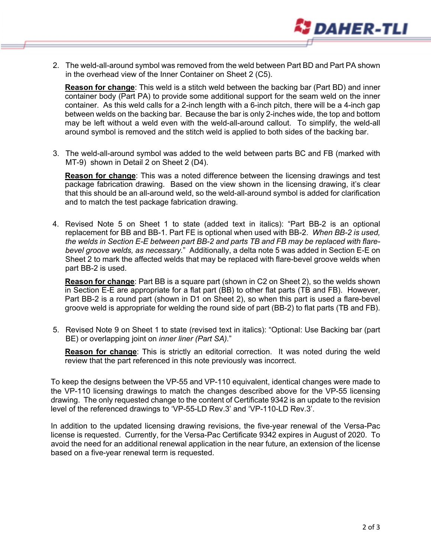

2. The weld-all-around symbol was removed from the weld between Part BD and Part PA shown in the overhead view of the Inner Container on Sheet 2 (C5).

**Reason for change**: This weld is a stitch weld between the backing bar (Part BD) and inner container body (Part PA) to provide some additional support for the seam weld on the inner container. As this weld calls for a 2-inch length with a 6-inch pitch, there will be a 4-inch gap between welds on the backing bar. Because the bar is only 2-inches wide, the top and bottom may be left without a weld even with the weld-all-around callout. To simplify, the weld-all around symbol is removed and the stitch weld is applied to both sides of the backing bar.

3. The weld-all-around symbol was added to the weld between parts BC and FB (marked with MT-9) shown in Detail 2 on Sheet 2 (D4).

**Reason for change**: This was a noted difference between the licensing drawings and test package fabrication drawing. Based on the view shown in the licensing drawing, it's clear that this should be an all-around weld, so the weld-all-around symbol is added for clarification and to match the test package fabrication drawing.

4. Revised Note 5 on Sheet 1 to state (added text in italics): "Part BB-2 is an optional replacement for BB and BB-1. Part FE is optional when used with BB-2. *When BB-2 is used, the welds in Section E-E between part BB-2 and parts TB and FB may be replaced with flarebevel groove welds, as necessary.*" Additionally, a delta note 5 was added in Section E-E on Sheet 2 to mark the affected welds that may be replaced with flare-bevel groove welds when part BB-2 is used.

**Reason for change**: Part BB is a square part (shown in C2 on Sheet 2), so the welds shown in Section E-E are appropriate for a flat part (BB) to other flat parts (TB and FB). However, Part BB-2 is a round part (shown in D1 on Sheet 2), so when this part is used a flare-bevel groove weld is appropriate for welding the round side of part (BB-2) to flat parts (TB and FB).

5. Revised Note 9 on Sheet 1 to state (revised text in italics): "Optional: Use Backing bar (part BE) or overlapping joint on *inner liner (Part SA).*"

**Reason for change**: This is strictly an editorial correction. It was noted during the weld review that the part referenced in this note previously was incorrect.

To keep the designs between the VP-55 and VP-110 equivalent, identical changes were made to the VP-110 licensing drawings to match the changes described above for the VP-55 licensing drawing. The only requested change to the content of Certificate 9342 is an update to the revision level of the referenced drawings to 'VP-55-LD Rev.3' and 'VP-110-LD Rev.3'.

In addition to the updated licensing drawing revisions, the five-year renewal of the Versa-Pac license is requested. Currently, for the Versa-Pac Certificate 9342 expires in August of 2020. To avoid the need for an additional renewal application in the near future, an extension of the license based on a five-year renewal term is requested.